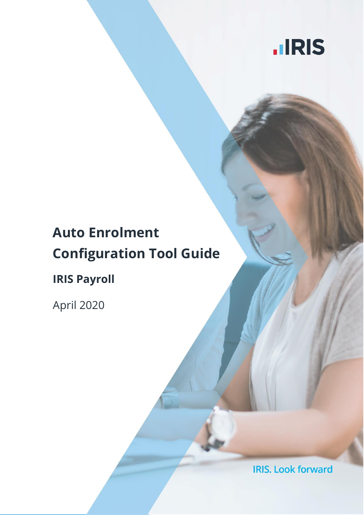

# **Auto Enrolment Configuration Tool Guide**

**IRIS Payroll**

April 2020

**IRIS. Look forward**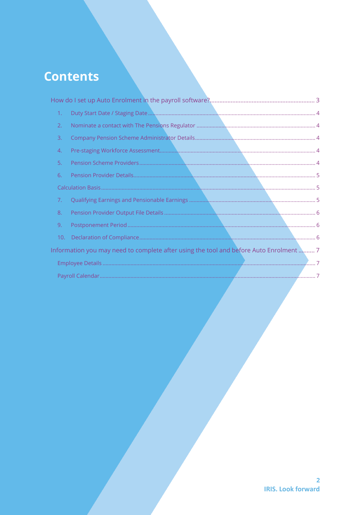# **Contents**

| 1.  |                                                                                       |  |
|-----|---------------------------------------------------------------------------------------|--|
| 2.  |                                                                                       |  |
| 3.  |                                                                                       |  |
| 4.  |                                                                                       |  |
| 5.  |                                                                                       |  |
| 6.  |                                                                                       |  |
|     |                                                                                       |  |
| 7.  |                                                                                       |  |
| 8.  |                                                                                       |  |
| 9.  |                                                                                       |  |
| 10. |                                                                                       |  |
|     | Information you may need to complete after using the tool and before Auto Enrolment 7 |  |
|     |                                                                                       |  |
|     | Payroll Calendar                                                                      |  |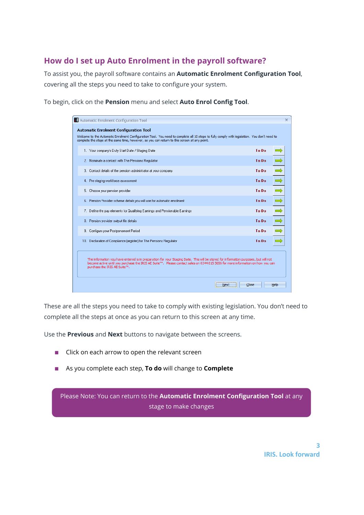# <span id="page-2-0"></span>**How do I set up Auto Enrolment in the payroll software?**

To assist you, the payroll software contains an **Automatic Enrolment Configuration Tool**, covering all the steps you need to take to configure your system.

To begin, click on the **Pension** menu and select **Auto Enrol Config Tool**.

| 1 Automatic Enrolment Configuration Tool                                                                                                                                                                                                                                                               |              | $\mathbf x$              |  |  |
|--------------------------------------------------------------------------------------------------------------------------------------------------------------------------------------------------------------------------------------------------------------------------------------------------------|--------------|--------------------------|--|--|
|                                                                                                                                                                                                                                                                                                        |              |                          |  |  |
| <b>Automatic Enrolment Configuration Tool</b>                                                                                                                                                                                                                                                          |              |                          |  |  |
| Welcome to the Automatic Enrolment Configuration Tool. You need to complete all 10 steps to fully comply with legislation. You don't need to<br>complete the steps at the same time, however, as you can return to this screen at any point.                                                           |              |                          |  |  |
| 1. Your company's Duty Start Date / Staging Date                                                                                                                                                                                                                                                       | <b>To Do</b> | $\overline{\phantom{a}}$ |  |  |
| 2. Nominate a contact with The Pensions Regulator                                                                                                                                                                                                                                                      | To Do        | $\Rightarrow$            |  |  |
| 3. Contact details of the pension administrator at your company                                                                                                                                                                                                                                        | To Do        | $\Rightarrow$            |  |  |
| 4. Pre-staging workforce assessment                                                                                                                                                                                                                                                                    | To Do        | $\Rightarrow$            |  |  |
| Choose your pension provider<br>5.                                                                                                                                                                                                                                                                     | <b>To Do</b> | $\Rightarrow$            |  |  |
| 6.<br>Pension Provider scheme details you will use for automatic enrolment                                                                                                                                                                                                                             | To Do        | $\Rightarrow$            |  |  |
| Define the pay elements for Qualifying Earnings and Pensionable Earnings<br>7. .                                                                                                                                                                                                                       | To Do        | $\Rightarrow$            |  |  |
| Pension provider output file details<br>8.                                                                                                                                                                                                                                                             | <b>To Do</b> | $\Rightarrow$            |  |  |
| Configure your Postponement Period<br>9.                                                                                                                                                                                                                                                               | To Do        | $\Rightarrow$            |  |  |
| 10. Declaration of Compliance (register) for The Pensions Regulator                                                                                                                                                                                                                                    | To Do        | $\Rightarrow$            |  |  |
| The information you have entered is in preparation for your Staging Date. This will be stored for information purposes, but will not<br>become active until you purchase the IRIS AE Suite™. Please contact sales on 0344 815 5656 for more information on how you can<br>purchase the IRIS AE Suite™. |              |                          |  |  |
| Next                                                                                                                                                                                                                                                                                                   | Close        | Help                     |  |  |

These are all the steps you need to take to comply with existing legislation. You don't need to complete all the steps at once as you can return to this screen at any time.

Use the **Previous** and **Next** buttons to navigate between the screens.

- Click on each arrow to open the relevant screen
- As you complete each step, **To do** will change to **Complete**

Please Note: You can return to the **Automatic Enrolment Configuration Tool** at any stage to make changes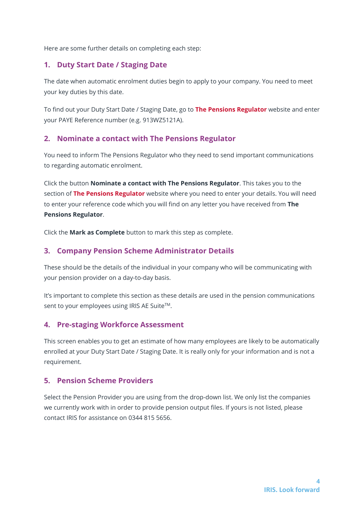Here are some further details on completing each step:

# <span id="page-3-0"></span>**1. Duty Start Date / Staging Date**

The date when automatic enrolment duties begin to apply to your company. You need to meet your key duties by this date.

To find out your Duty Start Date / Staging Date, go to **[The Pensions Regulator](http://www.thepensionsregulator.gov.uk/employers/staging-date.aspx)** website and enter your PAYE Reference number (e.g. 913WZ5121A).

## <span id="page-3-1"></span>**2. Nominate a contact with The Pensions Regulator**

You need to inform The Pensions Regulator who they need to send important communications to regarding automatic enrolment.

Click the button **Nominate a contact with The Pensions Regulator**. This takes you to the section of **[The Pensions Regulator](https://automation.thepensionsregulator.gov.uk/Nomination)** website where you need to enter your details. You will need to enter your reference code which you will find on any letter you have received from **The Pensions Regulator**.

Click the **Mark as Complete** button to mark this step as complete.

## <span id="page-3-2"></span>**3. Company Pension Scheme Administrator Details**

These should be the details of the individual in your company who will be communicating with your pension provider on a day-to-day basis.

It's important to complete this section as these details are used in the pension communications sent to your employees using IRIS AE Suite™.

#### <span id="page-3-3"></span>**4. Pre-staging Workforce Assessment**

This screen enables you to get an estimate of how many employees are likely to be automatically enrolled at your Duty Start Date / Staging Date. It is really only for your information and is not a requirement.

# <span id="page-3-4"></span>**5. Pension Scheme Providers**

Select the Pension Provider you are using from the drop-down list. We only list the companies we currently work with in order to provide pension output files. If yours is not listed, please contact IRIS for assistance on 0344 815 5656.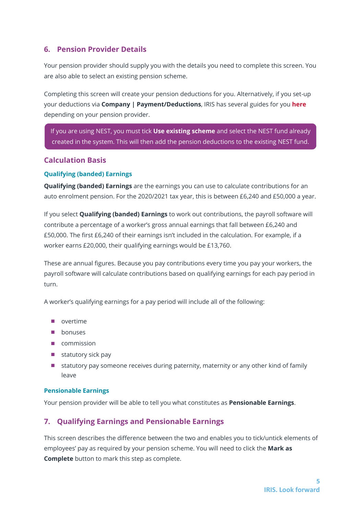# <span id="page-4-0"></span>**6. Pension Provider Details**

Your pension provider should supply you with the details you need to complete this screen. You are also able to select an existing pension scheme.

Completing this screen will create your pension deductions for you. Alternatively, if you set-up your deductions via **Company | Payment/Deductions**, IRIS has several guides for you **[here](http://www.iris.co.uk/support/other-payroll-and-hr-support-inc-p11d-and-bookkeeping/automatic-enrolment-pension-setup/creating-your-pension-deductions/)** depending on your pension provider.

If you are using NEST, you must tick **Use existing scheme** and select the NEST fund already created in the system. This will then add the pension deductions to the existing NEST fund.

# <span id="page-4-1"></span>**Calculation Basis**

## **Qualifying (banded) Earnings**

**Qualifying (banded) Earnings** are the earnings you can use to calculate contributions for an auto enrolment pension. For the 2020/2021 tax year, this is between £6,240 and £50,000 a year.

If you select **Qualifying (banded) Earnings** to work out contributions, the payroll software will contribute a percentage of a worker's gross annual earnings that fall between £6,240 and £50,000. The first £6,240 of their earnings isn't included in the calculation. For example, if a worker earns £20,000, their qualifying earnings would be £13,760.

These are annual figures. Because you pay contributions every time you pay your workers, the payroll software will calculate contributions based on qualifying earnings for each pay period in turn.

A worker's qualifying earnings for a pay period will include all of the following:

- overtime
- bonuses
- commission
- $\blacksquare$  statutory sick pay
- statutory pay someone receives during paternity, maternity or any other kind of family leave

#### **Pensionable Earnings**

Your pension provider will be able to tell you what constitutes as **Pensionable Earnings**.

# <span id="page-4-2"></span>**7. Qualifying Earnings and Pensionable Earnings**

This screen describes the difference between the two and enables you to tick/untick elements of employees' pay as required by your pension scheme. You will need to click the **Mark as Complete** button to mark this step as complete.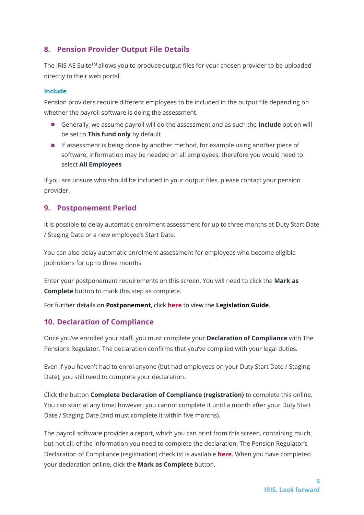# <span id="page-5-0"></span>**8. Pension Provider Output File Details**

The IRIS AE Suite™ allows you to produce output files for your chosen provider to be uploaded directly to their web portal.

#### **Include**

Pension providers require different employees to be included in the output file depending on whether the payroll software is doing the assessment.

- Generally, we assume payroll will do the assessment and as such the **Include** option will be set to **This fund only** by default
- If assessment is being done by another method, for example using another piece of software, information may be needed on all employees, therefore you would need to select **All Employees**

If you are unsure who should be included in your output files, please contact your pension provider.

## <span id="page-5-1"></span>**9. Postponement Period**

It is possible to delay automatic enrolment assessment for up to three months at Duty Start Date / Staging Date or a new employee's Start Date.

You can also delay automatic enrolment assessment for employees who become eligible jobholders for up to three months.

Enter your postponement requirements on this screen. You will need to click the **Mark as Complete** button to mark this step as complete.

For further details on **Postponement**, click **[here](http://www.iris.co.uk/AELegislation)** to view the **Legislation Guide**.

# <span id="page-5-2"></span>**10. Declaration of Compliance**

Once you've enrolled your staff, you must complete your **Declaration of Compliance** with The Pensions Regulator. The declaration confirms that you've complied with your legal duties.

Even if you haven't had to enrol anyone (but had employees on your Duty Start Date / Staging Date), you still need to complete your declaration.

Click the button **Complete Declaration of Compliance (registration)** to complete this online. You can start at any time; however, you cannot complete it until a month after your Duty Start Date / Staging Date (and must complete it within five months).

The payroll software provides a report, which you can print from this screen, containing much, but not all, of the information you need to complete the declaration. The Pension Regulator's Declaration of Compliance (registration) checklist is available **[here](http://www.thepensionsregulator.gov.uk/docs/automatic-enrolment-online-registration-checklist.pdf)**. When you have completed your declaration online, click the **Mark as Complete** button.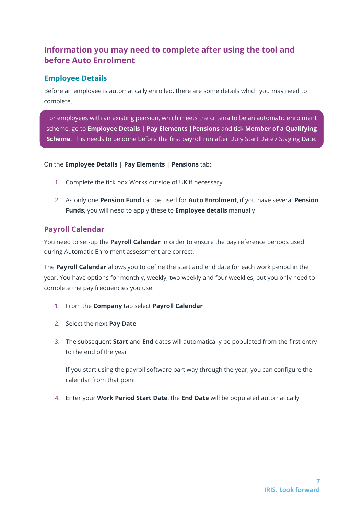# <span id="page-6-0"></span>**Information you may need to complete after using the tool and before Auto Enrolment**

# <span id="page-6-1"></span>**Employee Details**

Before an employee is automatically enrolled, there are some details which you may need to complete.

For employees with an existing pension, which meets the criteria to be an automatic enrolment scheme, go to **Employee Details | Pay Elements |Pensions** and tick **Member of a Qualifying Scheme**. This needs to be done before the first payroll run after Duty Start Date / Staging Date.

On the **Employee Details | Pay Elements | Pensions** tab:

- 1. Complete the tick box Works outside of UK if necessary
- 2. As only one **Pension Fund** can be used for **Auto Enrolment**, if you have several **Pension Funds**, you will need to apply these to **Employee details** manually

# <span id="page-6-2"></span>**Payroll Calendar**

You need to set-up the **Payroll Calendar** in order to ensure the pay reference periods used during Automatic Enrolment assessment are correct.

The **Payroll Calendar** allows you to define the start and end date for each work period in the year. You have options for monthly, weekly, two weekly and four weeklies, but you only need to complete the pay frequencies you use.

- **1.** From the **Company** tab select **Payroll Calendar**
- **2.** Select the next **Pay Date**
- **3.** The subsequent **Start** and **End** dates will automatically be populated from the first entry to the end of the year

If you start using the payroll software part way through the year, you can configure the calendar from that point

**4.** Enter your **Work Period Start Date**, the **End Date** will be populated automatically